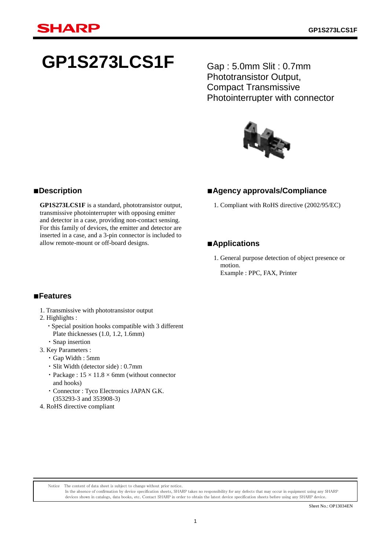# **GP1S273LCS1F**

Gap : 5.0mm Slit : 0.7mm Phototransistor Output, Compact Transmissive Photointerrupter with connector



# ■**Agency approvals/Compliance**

1. Compliant with RoHS directive (2002/95/EC)

# ■**Applications**

1. General purpose detection of object presence or motion. Example : PPC, FAX, Printer

# ■**Description**

**GP1S273LCS1F** is a standard, phototransistor output, transmissive photointerrupter with opposing emitter and detector in a case, providing non-contact sensing. For this family of devices, the emitter and detector are inserted in a case, and a 3-pin connector is included to allow remote-mount or off-board designs.

### ■**Features**

- 1. Transmissive with phototransistor output
- 2. Highlights :
	- ・Special position hooks compatible with 3 different Plate thicknesses (1.0, 1.2, 1.6mm)
- ・Snap insertion
- 3. Key Parameters :
	- ・Gap Width : 5mm
	- ・Slit Width (detector side) : 0.7mm
	- Package :  $15 \times 11.8 \times 6$ mm (without connector and hooks)

Notice The content of data sheet is subject to change without prior notice.

- ・Connector : Tyco Electronics JAPAN G.K. (353293-3 and 353908-3)
- 4. RoHS directive compliant

Sheet No.: OP13034EN

In the absence of confirmation by device specification sheets, SHARP takes no responsibility for any defects that may occur in equipment using any SHARP devices shown in catalogs, data books, etc. Contact SHARP in order to obtain the latest device specification sheets before using any SHARP device.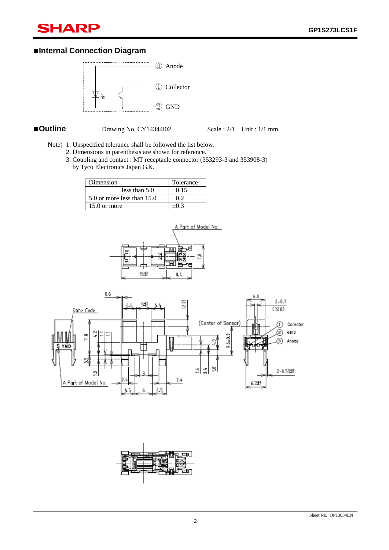# **SHARP**

# ■**Internal Connection Diagram**



ī

■**Outline** Drawing No. CY14344i02 Scale : 2/1 Unit : 1/1 mm

- Note) 1. Unspecified tolerance shall be followed the list below.
	- 2. Dimensions in parenthesis are shown for reference.
	- 3. Coupling and contact : MT receptacle connector (353293-3 and 353908-3) by Tyco Electronics Japan G.K.

| Dimension                  | Tolerance  |
|----------------------------|------------|
| less than $5.0$            | $\pm 0.15$ |
| 5.0 or more less than 15.0 | $+0.2$     |
| $15.0$ or more             |            |





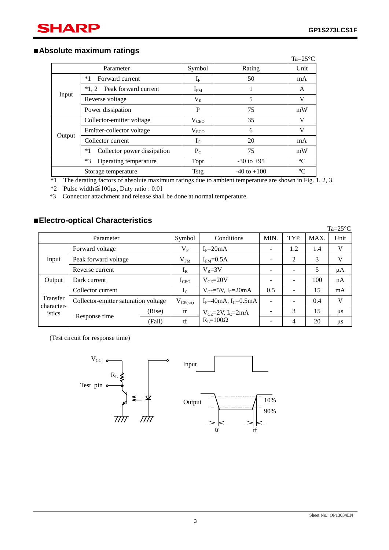ī

# ■**Absolute maximum ratings**

|        |                                     |                  |                 | $Ta = 25^{\circ}C$ |
|--------|-------------------------------------|------------------|-----------------|--------------------|
|        | Parameter                           | Symbol           | Rating          | Unit               |
|        | Forward current<br>$*1$             | $I_{\rm F}$      | 50              | mA                 |
|        | $*1.2$<br>Peak forward current      | $I_{FM}$         |                 | A                  |
| Input  | Reverse voltage                     | $V_{R}$          | 5               | V                  |
|        | Power dissipation                   | P                | 75              | mW                 |
|        | Collector-emitter voltage           | $V_{\text{CEO}}$ | 35              | V                  |
|        | Emitter-collector voltage           | $V_{ECO}$        | 6               | V                  |
| Output | Collector current                   | $I_{\rm C}$      | 20              | mA                 |
|        | $*1$<br>Collector power dissipation | $P_{C}$          | 75              | mW                 |
|        | $*3$<br>Operating temperature       | <b>Topr</b>      | $-30$ to $+95$  | $\rm ^{\circ}C$    |
|        | Storage temperature                 | <b>Tstg</b>      | $-40$ to $+100$ | $\rm ^{\circ}C$    |

\*1 The derating factors of absolute maximum ratings due to ambient temperature are shown in Fig. 1, 2, 3.

\*2 Pulse width≦100μs, Duty ratio : 0.01

\*3 Connector attachment and release shall be done at normal temperature.

# ■**Electro-optical Characteristics**

|                      |                                      |        |                  |                                           |            |      |            | $Ta = 25^{\circ}C$ |
|----------------------|--------------------------------------|--------|------------------|-------------------------------------------|------------|------|------------|--------------------|
|                      | Parameter                            |        | Symbol           | Conditions                                | <b>MIN</b> | TYP. | <b>MAX</b> | Unit               |
|                      | Forward voltage                      |        | $\rm V_F$        | $I_F = 20mA$                              |            | 1.2  | 1.4        | V                  |
| Input                | Peak forward voltage                 |        | V <sub>FM</sub>  | $IFM=0.5A$                                | -          | 2    | 3          | V                  |
|                      | Reverse current                      |        | $I_R$            | $V_R = 3V$                                |            |      | 5          | μA                 |
| Output               | Dark current                         |        | $I_{\text{CEO}}$ | $V_{CE} = 20V$                            |            |      | 100        | nA                 |
|                      | Collector current                    |        | $I_{\rm C}$      | $V_{CE}$ =5V, I <sub>F</sub> =20mA        | 0.5        |      | 15         | mA                 |
| Transfer             | Collector-emitter saturation voltage |        | $V_{CE(sat)}$    | $I_F = 40 \text{mA}, I_C = 0.5 \text{mA}$ | ۰          |      | 0.4        | V                  |
| character-<br>istics | Response time                        | (Rise) | tr               | $V_{CE}$ =2V, I <sub>C</sub> =2mA         |            | 3    | 15         | μs                 |
|                      |                                      | (Fall) | tf               | $R_I = 100\Omega$                         |            | 4    | 20         | μs                 |

(Test circuit for response time)

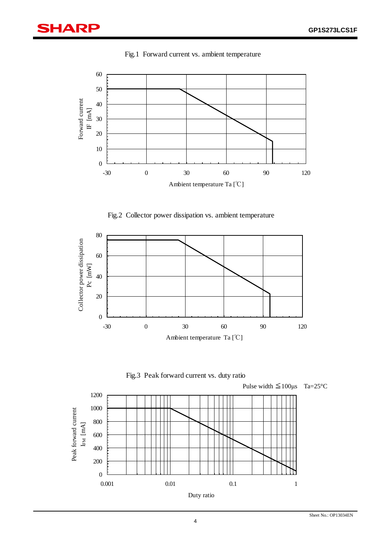ī



Fig.1 Forward current vs. ambient temperature







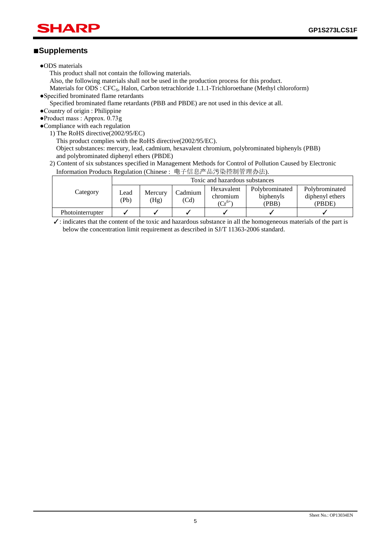# ■**Supplements**

ī

- ●ODS materials
	- This product shall not contain the following materials.
	- Also, the following materials shall not be used in the production process for this product.

Materials for ODS : CFC<sub>S</sub>, Halon, Carbon tetrachloride 1.1.1-Trichloroethane (Methyl chloroform) ●Specified brominated flame retardants

- Specified brominated flame retardants (PBB and PBDE) are not used in this device at all.
- ●Country of origin : Philippine
- ●Product mass : Approx. 0.73g
- ●Compliance with each regulation
	- 1) The RoHS directive(2002/95/EC)

This product complies with the RoHS directive(2002/95/EC).

- Object substances: mercury, lead, cadmium, hexavalent chromium, polybrominated biphenyls (PBB) and polybrominated diphenyl ethers (PBDE)
- 2) Content of six substances specified in Management Methods for Control of Pollution Caused by Electronic Information Products Regulation (Chinese : 电子信息产品污染控制管理办法).

|                  | Toxic and hazardous substances |      |          |             |                 |                |
|------------------|--------------------------------|------|----------|-------------|-----------------|----------------|
| Category         | Mercury<br>Lead<br>(Pb)        |      | Cadmium  | Hexavalent  | Polybrominated  | Polybrominated |
|                  |                                |      | chromium | biphenyls   | diphenyl ethers |                |
|                  |                                | (Hg) | (Cd)     | $(Cr^{6+})$ | (PBB)           | (PBDE)         |
| Photointerrupter |                                |      |          |             |                 |                |

 $\checkmark$ : indicates that the content of the toxic and hazardous substance in all the homogeneous materials of the part is below the concentration limit requirement as described in SJ/T 11363-2006 standard.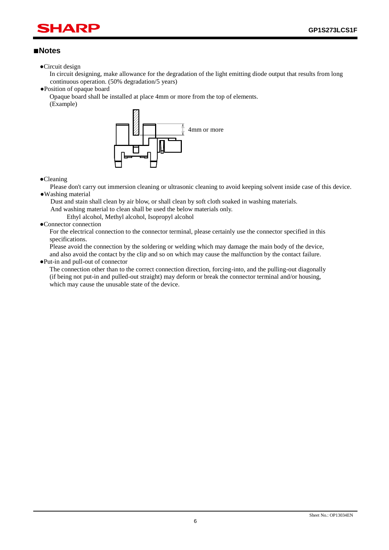# HAR ī

### ■**Notes**

●Circuit design

In circuit designing, make allowance for the degradation of the light emitting diode output that results from long continuous operation. (50% degradation/5 years)

●Position of opaque board

Opaque board shall be installed at place 4mm or more from the top of elements. (Example)



#### ●Cleaning

Please don't carry out immersion cleaning or ultrasonic cleaning to avoid keeping solvent inside case of this device. ●Washing material

Dust and stain shall clean by air blow, or shall clean by soft cloth soaked in washing materials.

And washing material to clean shall be used the below materials only.

Ethyl alcohol, Methyl alcohol, Isopropyl alcohol

### ●Connector connection

For the electrical connection to the connector terminal, please certainly use the connector specified in this specifications.

Please avoid the connection by the soldering or welding which may damage the main body of the device, and also avoid the contact by the clip and so on which may cause the malfunction by the contact failure.

#### ●Put-in and pull-out of connector

The connection other than to the correct connection direction, forcing-into, and the pulling-out diagonally (if being not put-in and pulled-out straight) may deform or break the connector terminal and/or housing, which may cause the unusable state of the device.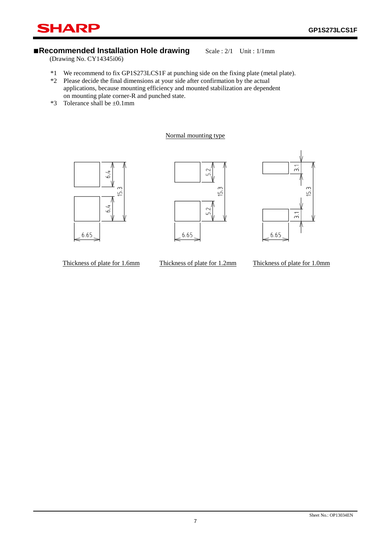# ■**Recommended Installation Hole drawing** Scale : 2/1 Unit : 1/1mm

(Drawing No. CY14345i06)

**SHARP** 

ī

\*1 We recommend to fix GP1S273LCS1F at punching side on the fixing plate (metal plate).

- \*2 Please decide the final dimensions at your side after confirmation by the actual applications, because mounting efficiency and mounted stabilization are dependent on mounting plate corner-R and punched state.
- \*3 Tolerance shall be ±0.1mm

#### Normal mounting type







Thickness of plate for 1.6mm Thickness of plate for 1.2mm Thickness of plate for 1.0mm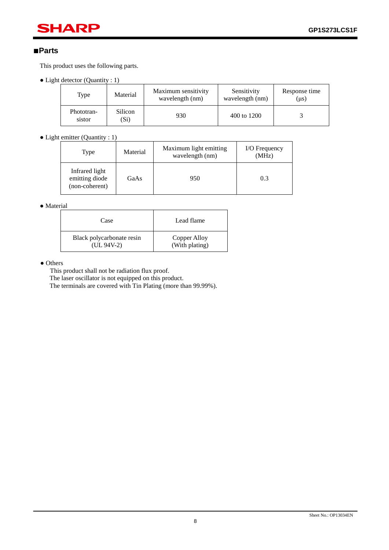# **SHARP**

# ■**Parts**

ī

This product uses the following parts.

• Light detector (Quantity : 1)

| Type                 | Material        | Maximum sensitivity<br>wavelength (nm) | Sensitivity<br>wavelength (nm) | Response time<br>$(\mu s)$ |
|----------------------|-----------------|----------------------------------------|--------------------------------|----------------------------|
| Phototran-<br>sistor | Silicon<br>(Si) | 930                                    | 400 to 1200                    |                            |

• Light emitter (Quantity : 1)

| Type                                               | Material | Maximum light emitting<br>wavelength (nm) | I/O Frequency<br>(MHz) |
|----------------------------------------------------|----------|-------------------------------------------|------------------------|
| Infrared light<br>emitting diode<br>(non-coherent) | GaAs     | 950                                       | 0.3                    |

● Material

| Case                      | Lead flame     |
|---------------------------|----------------|
| Black polycarbonate resin | Copper Alloy   |
| $(UL 94V-2)$              | (With plating) |

● Others

This product shall not be radiation flux proof.

The laser oscillator is not equipped on this product.

The terminals are covered with Tin Plating (more than 99.99%).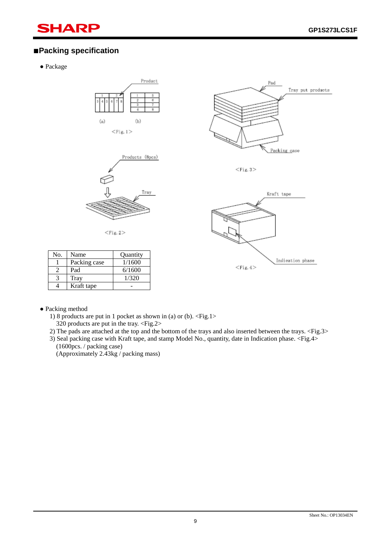# SHARP

# ■**Packing specification**

● Package

ī





 $<$ Fig. 2 $>$ 



 $<$ Fig. 3 $>$ 



| No. | Name         | Quantity |
|-----|--------------|----------|
|     | Packing case | 1/1600   |
|     | Pad          | 6/1600   |
|     | Tray         | 1/320    |
|     | Kraft tape   |          |

- Packing method
	- 1) 8 products are put in 1 pocket as shown in (a) or (b).  $\langle$ Fig.1> 320 products are put in the tray. <Fig.2>
	- 2) The pads are attached at the top and the bottom of the trays and also inserted between the trays. <Fig.3>
	- 3) Seal packing case with Kraft tape, and stamp Model No., quantity, date in Indication phase. <Fig.4> (1600pcs. / packing case)
		- (Approximately 2.43kg / packing mass)